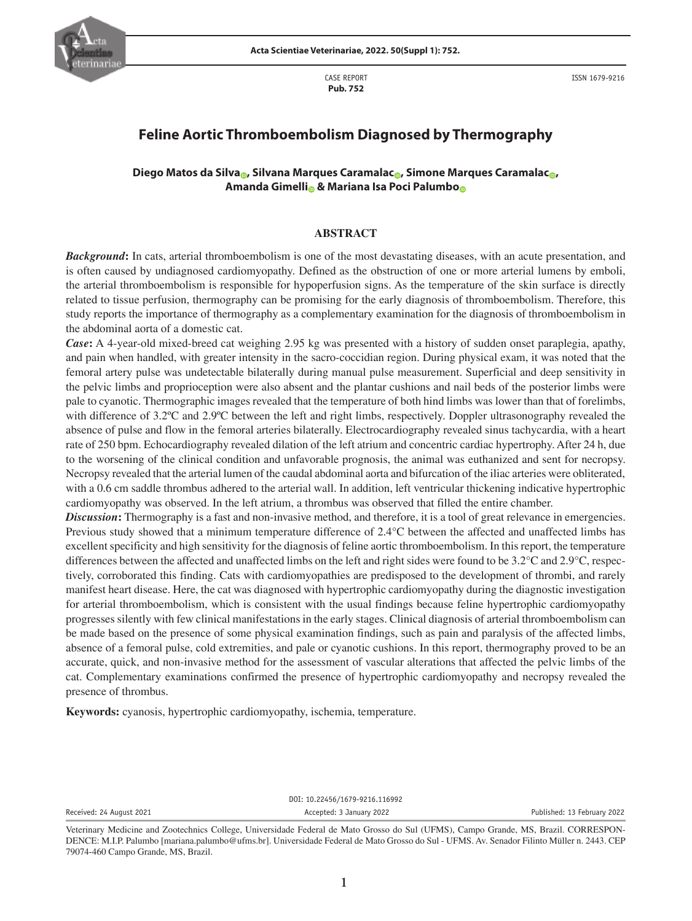

CASE REPORT **Pub. 752**

# **Feline Aortic Thromboembolism Diagnosed by Thermography**

## **Diego Matos da Silva [,](https://orcid.org/0000-0001-9350-1434)** Silvana Marques Caramala[c](https://orcid.org/0000-0002-3964-1601) **,** Simone Marques Caramalac <sub>e</sub>, **Amanda Gimellio & Mariana Isa Poc[i](https://orcid.org/0000-0001-5815-553X) Palumb[o](https://orcid.org/0000-0002-0919-5057)o**

### **ABSTRACT**

*Background*: In cats, arterial thromboembolism is one of the most devastating diseases, with an acute presentation, and is often caused by undiagnosed cardiomyopathy. Defined as the obstruction of one or more arterial lumens by emboli, the arterial thromboembolism is responsible for hypoperfusion signs. As the temperature of the skin surface is directly related to tissue perfusion, thermography can be promising for the early diagnosis of thromboembolism. Therefore, this study reports the importance of thermography as a complementary examination for the diagnosis of thromboembolism in the abdominal aorta of a domestic cat.

*Case***:** A 4-year-old mixed-breed cat weighing 2.95 kg was presented with a history of sudden onset paraplegia, apathy, and pain when handled, with greater intensity in the sacro-coccidian region. During physical exam, it was noted that the femoral artery pulse was undetectable bilaterally during manual pulse measurement. Superficial and deep sensitivity in the pelvic limbs and proprioception were also absent and the plantar cushions and nail beds of the posterior limbs were pale to cyanotic. Thermographic images revealed that the temperature of both hind limbs was lower than that of forelimbs, with difference of 3.2°C and 2.9°C between the left and right limbs, respectively. Doppler ultrasonography revealed the absence of pulse and flow in the femoral arteries bilaterally. Electrocardiography revealed sinus tachycardia, with a heart rate of 250 bpm. Echocardiography revealed dilation of the left atrium and concentric cardiac hypertrophy. After 24 h, due to the worsening of the clinical condition and unfavorable prognosis, the animal was euthanized and sent for necropsy. Necropsy revealed that the arterial lumen of the caudal abdominal aorta and bifurcation of the iliac arteries were obliterated, with a 0.6 cm saddle thrombus adhered to the arterial wall. In addition, left ventricular thickening indicative hypertrophic cardiomyopathy was observed. In the left atrium, a thrombus was observed that filled the entire chamber.

*Discussion***:** Thermography is a fast and non-invasive method, and therefore, it is a tool of great relevance in emergencies. Previous study showed that a minimum temperature difference of 2.4°C between the affected and unaffected limbs has excellent specificity and high sensitivity for the diagnosis of feline aortic thromboembolism. In this report, the temperature differences between the affected and unaffected limbs on the left and right sides were found to be 3.2°C and 2.9°C, respectively, corroborated this finding. Cats with cardiomyopathies are predisposed to the development of thrombi, and rarely manifest heart disease. Here, the cat was diagnosed with hypertrophic cardiomyopathy during the diagnostic investigation for arterial thromboembolism, which is consistent with the usual findings because feline hypertrophic cardiomyopathy progresses silently with few clinical manifestations in the early stages. Clinical diagnosis of arterial thromboembolism can be made based on the presence of some physical examination findings, such as pain and paralysis of the affected limbs, absence of a femoral pulse, cold extremities, and pale or cyanotic cushions. In this report, thermography proved to be an accurate, quick, and non-invasive method for the assessment of vascular alterations that affected the pelvic limbs of the cat. Complementary examinations confirmed the presence of hypertrophic cardiomyopathy and necropsy revealed the presence of thrombus.

**Keywords:** cyanosis, hypertrophic cardiomyopathy, ischemia, temperature.

DOI: 10.22456/1679-9216.116992

Received: 24 August 2021 **Accepted: 3 January 2022 Accepted: 3 January 2022** Published: 13 February 2022

Veterinary Medicine and Zootechnics College, Universidade Federal de Mato Grosso do Sul (UFMS), Campo Grande, MS, Brazil. CORRESPON-DENCE: M.I.P. Palumbo [mariana.palumbo@ufms.br]. Universidade Federal de Mato Grosso do Sul - UFMS. Av. Senador Filinto Müller n. 2443. CEP 79074-460 Campo Grande, MS, Brazil.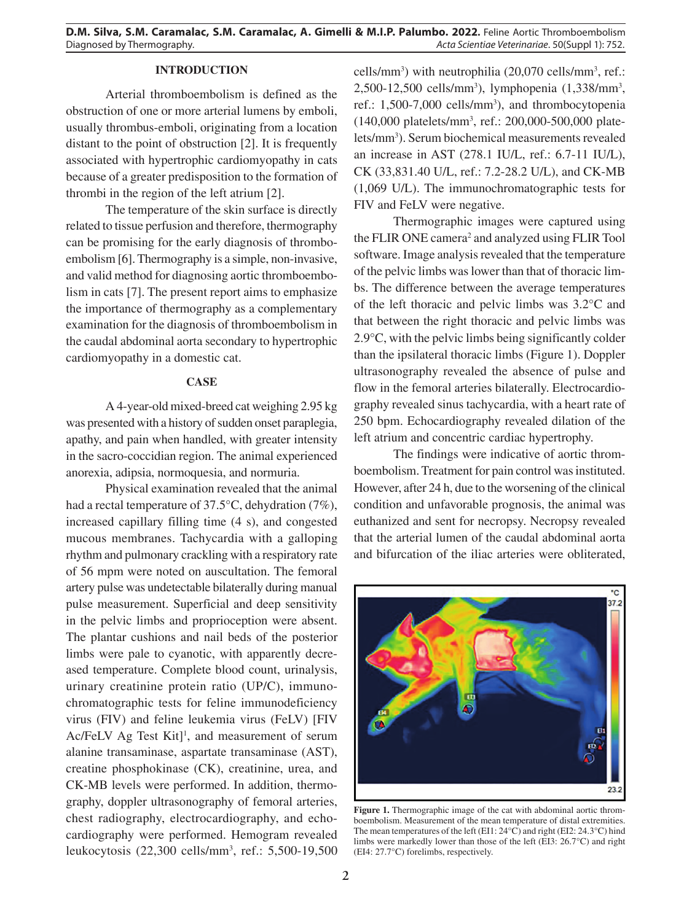## **INTRODUCTION**

Arterial thromboembolism is defined as the obstruction of one or more arterial lumens by emboli, usually thrombus-emboli, originating from a location distant to the point of obstruction [2]. It is frequently associated with hypertrophic cardiomyopathy in cats because of a greater predisposition to the formation of thrombi in the region of the left atrium [2].

The temperature of the skin surface is directly related to tissue perfusion and therefore, thermography can be promising for the early diagnosis of thromboembolism [6]. Thermography is a simple, non-invasive, and valid method for diagnosing aortic thromboembolism in cats [7]. The present report aims to emphasize the importance of thermography as a complementary examination for the diagnosis of thromboembolism in the caudal abdominal aorta secondary to hypertrophic cardiomyopathy in a domestic cat.

#### **CASE**

A 4-year-old mixed-breed cat weighing 2.95 kg was presented with a history of sudden onset paraplegia, apathy, and pain when handled, with greater intensity in the sacro-coccidian region. The animal experienced anorexia, adipsia, normoquesia, and normuria.

Physical examination revealed that the animal had a rectal temperature of 37.5°C, dehydration (7%), increased capillary filling time (4 s), and congested mucous membranes. Tachycardia with a galloping rhythm and pulmonary crackling with a respiratory rate of 56 mpm were noted on auscultation. The femoral artery pulse was undetectable bilaterally during manual pulse measurement. Superficial and deep sensitivity in the pelvic limbs and proprioception were absent. The plantar cushions and nail beds of the posterior limbs were pale to cyanotic, with apparently decreased temperature. Complete blood count, urinalysis, urinary creatinine protein ratio (UP/C), immunochromatographic tests for feline immunodeficiency virus (FIV) and feline leukemia virus (FeLV) [FIV  $Ac/FeLV$  Ag Test Kit]<sup>1</sup>, and measurement of serum alanine transaminase, aspartate transaminase (AST), creatine phosphokinase (CK), creatinine, urea, and CK-MB levels were performed. In addition, thermography, doppler ultrasonography of femoral arteries, chest radiography, electrocardiography, and echocardiography were performed. Hemogram revealed leukocytosis (22,300 cells/mm3 , ref.: 5,500-19,500

cells/mm3 ) with neutrophilia (20,070 cells/mm3 , ref.: 2,500-12,500 cells/mm<sup>3</sup>), lymphopenia (1,338/mm<sup>3</sup>, ref.: 1,500-7,000 cells/mm<sup>3</sup>), and thrombocytopenia (140,000 platelets/mm3 , ref.: 200,000-500,000 platelets/mm3 ). Serum biochemical measurements revealed an increase in AST (278.1 IU/L, ref.: 6.7-11 IU/L), CK (33,831.40 U/L, ref.: 7.2-28.2 U/L), and CK-MB (1,069 U/L). The immunochromatographic tests for FIV and FeLV were negative.

Thermographic images were captured using the FLIR ONE camera<sup>2</sup> and analyzed using FLIR Tool software. Image analysis revealed that the temperature of the pelvic limbs was lower than that of thoracic limbs. The difference between the average temperatures of the left thoracic and pelvic limbs was 3.2°C and that between the right thoracic and pelvic limbs was 2.9°C, with the pelvic limbs being significantly colder than the ipsilateral thoracic limbs (Figure 1). Doppler ultrasonography revealed the absence of pulse and flow in the femoral arteries bilaterally. Electrocardiography revealed sinus tachycardia, with a heart rate of 250 bpm. Echocardiography revealed dilation of the left atrium and concentric cardiac hypertrophy.

The findings were indicative of aortic thromboembolism. Treatment for pain control was instituted. However, after 24 h, due to the worsening of the clinical condition and unfavorable prognosis, the animal was euthanized and sent for necropsy. Necropsy revealed that the arterial lumen of the caudal abdominal aorta and bifurcation of the iliac arteries were obliterated,



**Figure 1.** Thermographic image of the cat with abdominal aortic thromboembolism. Measurement of the mean temperature of distal extremities. The mean temperatures of the left (EI1: 24°C) and right (EI2: 24.3°C) hind limbs were markedly lower than those of the left (EI3: 26.7°C) and right (EI4: 27.7°C) forelimbs, respectively.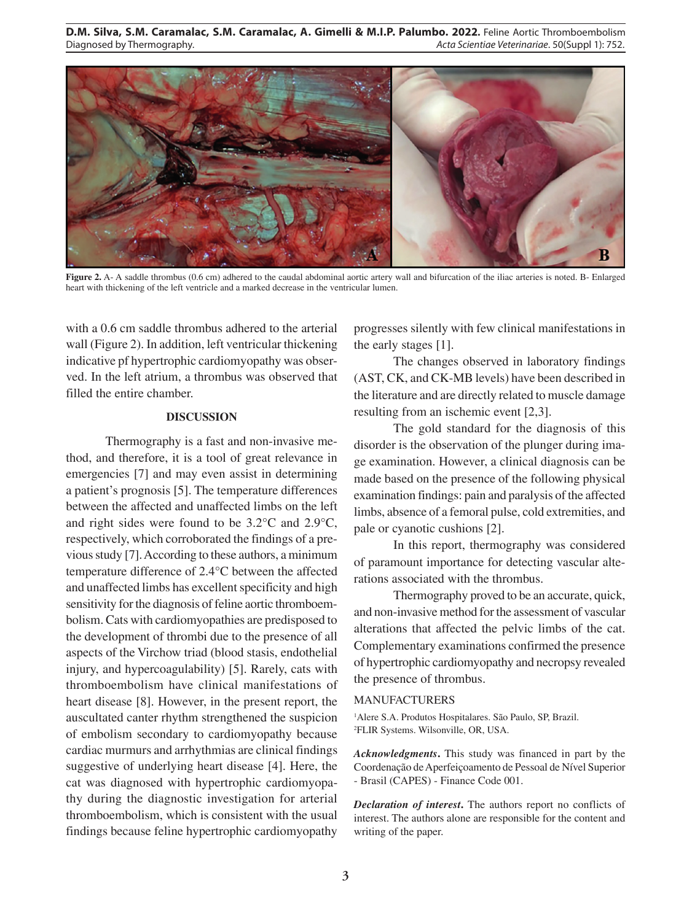**D.M. Silva, S.M. Caramalac, S.M. Caramalac, A. Gimelli & M.I.P. Palumbo. 2022.** Feline Aortic Thromboembolism Diagnosed by Thermography. *Acta Scientiae Veterinariae*. 50(Suppl 1): 752.



**Figure 2.** A- A saddle thrombus (0.6 cm) adhered to the caudal abdominal aortic artery wall and bifurcation of the iliac arteries is noted. B- Enlarged heart with thickening of the left ventricle and a marked decrease in the ventricular lumen.

with a 0.6 cm saddle thrombus adhered to the arterial wall (Figure 2). In addition, left ventricular thickening indicative pf hypertrophic cardiomyopathy was observed. In the left atrium, a thrombus was observed that filled the entire chamber.

## **DISCUSSION**

Thermography is a fast and non-invasive method, and therefore, it is a tool of great relevance in emergencies [7] and may even assist in determining a patient's prognosis [5]. The temperature differences between the affected and unaffected limbs on the left and right sides were found to be 3.2°C and 2.9°C, respectively, which corroborated the findings of a previous study [7]. According to these authors, a minimum temperature difference of 2.4°C between the affected and unaffected limbs has excellent specificity and high sensitivity for the diagnosis of feline aortic thromboembolism. Cats with cardiomyopathies are predisposed to the development of thrombi due to the presence of all aspects of the Virchow triad (blood stasis, endothelial injury, and hypercoagulability) [5]. Rarely, cats with thromboembolism have clinical manifestations of heart disease [8]. However, in the present report, the auscultated canter rhythm strengthened the suspicion of embolism secondary to cardiomyopathy because cardiac murmurs and arrhythmias are clinical findings suggestive of underlying heart disease [4]. Here, the cat was diagnosed with hypertrophic cardiomyopathy during the diagnostic investigation for arterial thromboembolism, which is consistent with the usual findings because feline hypertrophic cardiomyopathy

progresses silently with few clinical manifestations in the early stages [1].

The changes observed in laboratory findings (AST, CK, and CK-MB levels) have been described in the literature and are directly related to muscle damage resulting from an ischemic event [2,3].

The gold standard for the diagnosis of this disorder is the observation of the plunger during image examination. However, a clinical diagnosis can be made based on the presence of the following physical examination findings: pain and paralysis of the affected limbs, absence of a femoral pulse, cold extremities, and pale or cyanotic cushions [2].

In this report, thermography was considered of paramount importance for detecting vascular alterations associated with the thrombus.

Thermography proved to be an accurate, quick, and non-invasive method for the assessment of vascular alterations that affected the pelvic limbs of the cat. Complementary examinations confirmed the presence of hypertrophic cardiomyopathy and necropsy revealed the presence of thrombus.

#### MANUFACTURERS

<sup>1</sup>Alere S.A. Produtos Hospitalares. São Paulo, SP, Brazil. 2 FLIR Systems. Wilsonville, OR, USA.

*Acknowledgments***.** This study was financed in part by the Coordenação de Aperfeiçoamento de Pessoal de Nível Superior - Brasil (CAPES) - Finance Code 001.

*Declaration of interest***.** The authors report no conflicts of interest. The authors alone are responsible for the content and writing of the paper.